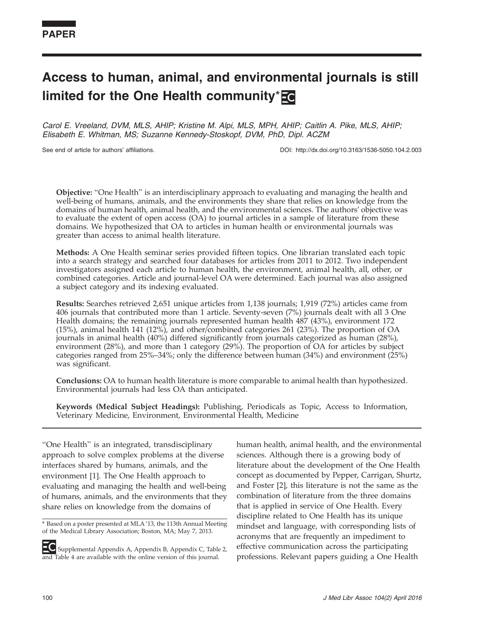# Access to human, animal, and environmental journals is still limited for the One Health community\***E**

Carol E. Vreeland, DVM, MLS, AHIP; Kristine M. Alpi, MLS, MPH, AHIP; Caitlin A. Pike, MLS, AHIP; Elisabeth E. Whitman, MS; Suzanne Kennedy-Stoskopf, DVM, PhD, Dipl. ACZM

See end of article for authors' affiliations. DOI: http://dx.doi.org/10.3163/1536-5050.104.2.003

Objective: ''One Health'' is an interdisciplinary approach to evaluating and managing the health and well-being of humans, animals, and the environments they share that relies on knowledge from the domains of human health, animal health, and the environmental sciences. The authors' objective was to evaluate the extent of open access (OA) to journal articles in a sample of literature from these domains. We hypothesized that OA to articles in human health or environmental journals was greater than access to animal health literature.

Methods: A One Health seminar series provided fifteen topics. One librarian translated each topic into a search strategy and searched four databases for articles from 2011 to 2012. Two independent investigators assigned each article to human health, the environment, animal health, all, other, or combined categories. Article and journal-level OA were determined. Each journal was also assigned a subject category and its indexing evaluated.

Results: Searches retrieved 2,651 unique articles from 1,138 journals; 1,919 (72%) articles came from 406 journals that contributed more than 1 article. Seventy-seven (7%) journals dealt with all 3 One Health domains; the remaining journals represented human health 487 (43%), environment 172 (15%), animal health 141 (12%), and other/combined categories 261 (23%). The proportion of OA journals in animal health (40%) differed significantly from journals categorized as human (28%), environment (28%), and more than 1 category (29%). The proportion of OA for articles by subject categories ranged from 25%–34%; only the difference between human (34%) and environment (25%) was significant.

Conclusions: OA to human health literature is more comparable to animal health than hypothesized. Environmental journals had less OA than anticipated.

Keywords (Medical Subject Headings): Publishing, Periodicals as Topic, Access to Information, Veterinary Medicine, Environment, Environmental Health, Medicine

''One Health'' is an integrated, transdisciplinary approach to solve complex problems at the diverse interfaces shared by humans, animals, and the environment [1]. The One Health approach to evaluating and managing the health and well-being of humans, animals, and the environments that they share relies on knowledge from the domains of

Supplemental Appendix A, Appendix B, Appendix C, Table 2, and Table 4 are available with the online version of this journal.

human health, animal health, and the environmental sciences. Although there is a growing body of literature about the development of the One Health concept as documented by Pepper, Carrigan, Shurtz, and Foster [2], this literature is not the same as the combination of literature from the three domains that is applied in service of One Health. Every discipline related to One Health has its unique mindset and language, with corresponding lists of acronyms that are frequently an impediment to effective communication across the participating professions. Relevant papers guiding a One Health

<sup>\*</sup> Based on a poster presented at MLA '13, the 113th Annual Meeting of the Medical Library Association; Boston, MA; May 7, 2013.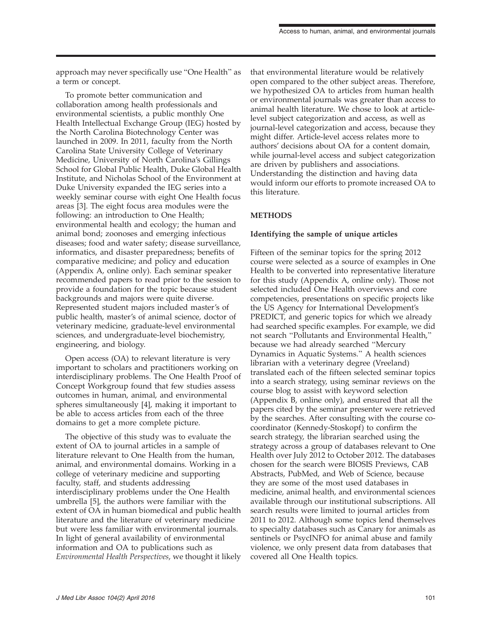approach may never specifically use ''One Health'' as a term or concept.

To promote better communication and collaboration among health professionals and environmental scientists, a public monthly One Health Intellectual Exchange Group (IEG) hosted by the North Carolina Biotechnology Center was launched in 2009. In 2011, faculty from the North Carolina State University College of Veterinary Medicine, University of North Carolina's Gillings School for Global Public Health, Duke Global Health Institute, and Nicholas School of the Environment at Duke University expanded the IEG series into a weekly seminar course with eight One Health focus areas [3]. The eight focus area modules were the following: an introduction to One Health; environmental health and ecology; the human and animal bond; zoonoses and emerging infectious diseases; food and water safety; disease surveillance, informatics, and disaster preparedness; benefits of comparative medicine; and policy and education (Appendix A, online only). Each seminar speaker recommended papers to read prior to the session to provide a foundation for the topic because student backgrounds and majors were quite diverse. Represented student majors included master's of public health, master's of animal science, doctor of veterinary medicine, graduate-level environmental sciences, and undergraduate-level biochemistry, engineering, and biology.

Open access (OA) to relevant literature is very important to scholars and practitioners working on interdisciplinary problems. The One Health Proof of Concept Workgroup found that few studies assess outcomes in human, animal, and environmental spheres simultaneously [4], making it important to be able to access articles from each of the three domains to get a more complete picture.

The objective of this study was to evaluate the extent of OA to journal articles in a sample of literature relevant to One Health from the human, animal, and environmental domains. Working in a college of veterinary medicine and supporting faculty, staff, and students addressing interdisciplinary problems under the One Health umbrella [5], the authors were familiar with the extent of OA in human biomedical and public health literature and the literature of veterinary medicine but were less familiar with environmental journals. In light of general availability of environmental information and OA to publications such as Environmental Health Perspectives, we thought it likely that environmental literature would be relatively open compared to the other subject areas. Therefore, we hypothesized OA to articles from human health or environmental journals was greater than access to animal health literature. We chose to look at articlelevel subject categorization and access, as well as journal-level categorization and access, because they might differ. Article-level access relates more to authors' decisions about OA for a content domain, while journal-level access and subject categorization are driven by publishers and associations. Understanding the distinction and having data would inform our efforts to promote increased OA to this literature.

# **METHODS**

## Identifying the sample of unique articles

Fifteen of the seminar topics for the spring 2012 course were selected as a source of examples in One Health to be converted into representative literature for this study (Appendix A, online only). Those not selected included One Health overviews and core competencies, presentations on specific projects like the US Agency for International Development's PREDICT, and generic topics for which we already had searched specific examples. For example, we did not search ''Pollutants and Environmental Health,'' because we had already searched ''Mercury Dynamics in Aquatic Systems.'' A health sciences librarian with a veterinary degree (Vreeland) translated each of the fifteen selected seminar topics into a search strategy, using seminar reviews on the course blog to assist with keyword selection (Appendix B, online only), and ensured that all the papers cited by the seminar presenter were retrieved by the searches. After consulting with the course cocoordinator (Kennedy-Stoskopf) to confirm the search strategy, the librarian searched using the strategy across a group of databases relevant to One Health over July 2012 to October 2012. The databases chosen for the search were BIOSIS Previews, CAB Abstracts, PubMed, and Web of Science, because they are some of the most used databases in medicine, animal health, and environmental sciences available through our institutional subscriptions. All search results were limited to journal articles from 2011 to 2012. Although some topics lend themselves to specialty databases such as Canary for animals as sentinels or PsycINFO for animal abuse and family violence, we only present data from databases that covered all One Health topics.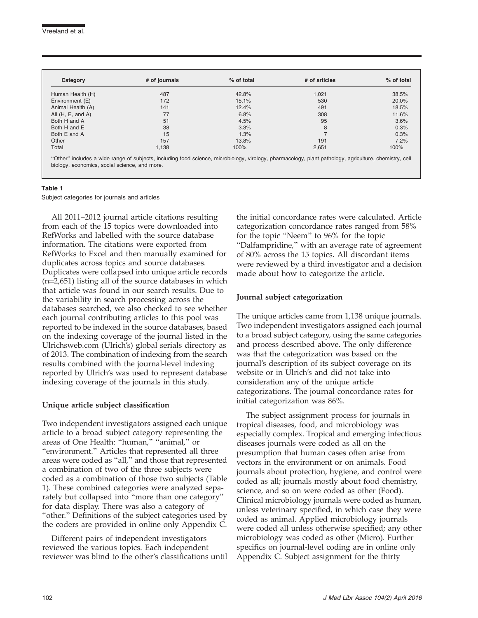| Category            | # of journals | % of total | # of articles | % of total |
|---------------------|---------------|------------|---------------|------------|
| Human Health (H)    | 487           | 42.8%      | 1,021         | 38.5%      |
| Environment (E)     | 172           | 15.1%      | 530           | 20.0%      |
| Animal Health (A)   | 141           | 12.4%      | 491           | 18.5%      |
| All $(H, E, and A)$ | 77            | 6.8%       | 308           | 11.6%      |
| Both H and A        | 51            | 4.5%       | 95            | 3.6%       |
| Both H and E        | 38            | 3.3%       | 8             | 0.3%       |
| Both E and A        | 15            | 1.3%       |               | 0.3%       |
| Other               | 157           | 13.8%      | 191           | 7.2%       |
| Total               | 1,138         | 100%       | 2,651         | 100%       |

#### Table 1

Subject categories for journals and articles

All 2011–2012 journal article citations resulting from each of the 15 topics were downloaded into RefWorks and labelled with the source database information. The citations were exported from RefWorks to Excel and then manually examined for duplicates across topics and source databases. Duplicates were collapsed into unique article records  $(n=2,651)$  listing all of the source databases in which that article was found in our search results. Due to the variability in search processing across the databases searched, we also checked to see whether each journal contributing articles to this pool was reported to be indexed in the source databases, based on the indexing coverage of the journal listed in the Ulrichsweb.com (Ulrich's) global serials directory as of 2013. The combination of indexing from the search results combined with the journal-level indexing reported by Ulrich's was used to represent database indexing coverage of the journals in this study.

## Unique article subject classification

Two independent investigators assigned each unique article to a broad subject category representing the areas of One Health: ''human,'' ''animal,'' or ''environment.'' Articles that represented all three areas were coded as ''all,'' and those that represented a combination of two of the three subjects were coded as a combination of those two subjects (Table 1). These combined categories were analyzed separately but collapsed into "more than one category" for data display. There was also a category of ''other.'' Definitions of the subject categories used by the coders are provided in online only Appendix C.

Different pairs of independent investigators reviewed the various topics. Each independent reviewer was blind to the other's classifications until

the initial concordance rates were calculated. Article categorization concordance rates ranged from 58% for the topic ''Neem'' to 96% for the topic ''Dalfampridine,'' with an average rate of agreement of 80% across the 15 topics. All discordant items were reviewed by a third investigator and a decision made about how to categorize the article.

#### Journal subject categorization

The unique articles came from 1,138 unique journals. Two independent investigators assigned each journal to a broad subject category, using the same categories and process described above. The only difference was that the categorization was based on the journal's description of its subject coverage on its website or in Ulrich's and did not take into consideration any of the unique article categorizations. The journal concordance rates for initial categorization was 86%.

The subject assignment process for journals in tropical diseases, food, and microbiology was especially complex. Tropical and emerging infectious diseases journals were coded as all on the presumption that human cases often arise from vectors in the environment or on animals. Food journals about protection, hygiene, and control were coded as all; journals mostly about food chemistry, science, and so on were coded as other (Food). Clinical microbiology journals were coded as human, unless veterinary specified, in which case they were coded as animal. Applied microbiology journals were coded all unless otherwise specified; any other microbiology was coded as other (Micro). Further specifics on journal-level coding are in online only Appendix C. Subject assignment for the thirty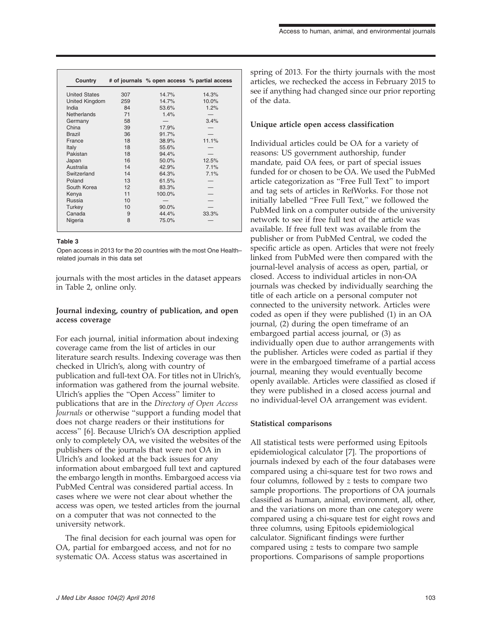| Country               |     | # of journals % open access % partial access |       |
|-----------------------|-----|----------------------------------------------|-------|
| <b>United States</b>  | 307 | 14.7%                                        | 14.3% |
| <b>United Kingdom</b> | 259 | 14.7%                                        | 10.0% |
| India                 | 84  | 53.6%                                        | 1.2%  |
| <b>Netherlands</b>    | 71  | 1.4%                                         |       |
| Germany               | 58  |                                              | 3.4%  |
| China                 | 39  | 17.9%                                        |       |
| <b>Brazil</b>         | 36  | 91.7%                                        |       |
| France                | 18  | 38.9%                                        | 11.1% |
| Italy                 | 18  | 55.6%                                        |       |
| Pakistan              | 18  | 94.4%                                        |       |
| Japan                 | 16  | 50.0%                                        | 12.5% |
| Australia             | 14  | 42.9%                                        | 7.1%  |
| Switzerland           | 14  | 64.3%                                        | 7.1%  |
| Poland                | 13  | 61.5%                                        |       |
| South Korea           | 12  | 83.3%                                        |       |
| Kenya                 | 11  | 100.0%                                       |       |
| Russia                | 10  |                                              |       |
| Turkey                | 10  | $90.0\%$                                     |       |
| Canada                | 9   | 44.4%                                        | 33.3% |
| Nigeria               | 8   | 75.0%                                        |       |

#### Table 3

Open access in 2013 for the 20 countries with the most One Health– related journals in this data set

journals with the most articles in the dataset appears in Table 2, online only.

## Journal indexing, country of publication, and open access coverage

For each journal, initial information about indexing coverage came from the list of articles in our literature search results. Indexing coverage was then checked in Ulrich's, along with country of publication and full-text OA. For titles not in Ulrich's, information was gathered from the journal website. Ulrich's applies the ''Open Access'' limiter to publications that are in the Directory of Open Access Journals or otherwise ''support a funding model that does not charge readers or their institutions for access'' [6]. Because Ulrich's OA description applied only to completely OA, we visited the websites of the publishers of the journals that were not OA in Ulrich's and looked at the back issues for any information about embargoed full text and captured the embargo length in months. Embargoed access via PubMed Central was considered partial access. In cases where we were not clear about whether the access was open, we tested articles from the journal on a computer that was not connected to the university network.

The final decision for each journal was open for OA, partial for embargoed access, and not for no systematic OA. Access status was ascertained in

spring of 2013. For the thirty journals with the most articles, we rechecked the access in February 2015 to see if anything had changed since our prior reporting of the data.

#### Unique article open access classification

Individual articles could be OA for a variety of reasons: US government authorship, funder mandate, paid OA fees, or part of special issues funded for or chosen to be OA. We used the PubMed article categorization as ''Free Full Text'' to import and tag sets of articles in RefWorks. For those not initially labelled "Free Full Text," we followed the PubMed link on a computer outside of the university network to see if free full text of the article was available. If free full text was available from the publisher or from PubMed Central, we coded the specific article as open. Articles that were not freely linked from PubMed were then compared with the journal-level analysis of access as open, partial, or closed. Access to individual articles in non-OA journals was checked by individually searching the title of each article on a personal computer not connected to the university network. Articles were coded as open if they were published (1) in an OA journal, (2) during the open timeframe of an embargoed partial access journal, or (3) as individually open due to author arrangements with the publisher. Articles were coded as partial if they were in the embargoed timeframe of a partial access journal, meaning they would eventually become openly available. Articles were classified as closed if they were published in a closed access journal and no individual-level OA arrangement was evident.

#### Statistical comparisons

All statistical tests were performed using Epitools epidemiological calculator [7]. The proportions of journals indexed by each of the four databases were compared using a chi-square test for two rows and four columns, followed by z tests to compare two sample proportions. The proportions of OA journals classified as human, animal, environment, all, other, and the variations on more than one category were compared using a chi-square test for eight rows and three columns, using Epitools epidemiological calculator. Significant findings were further compared using z tests to compare two sample proportions. Comparisons of sample proportions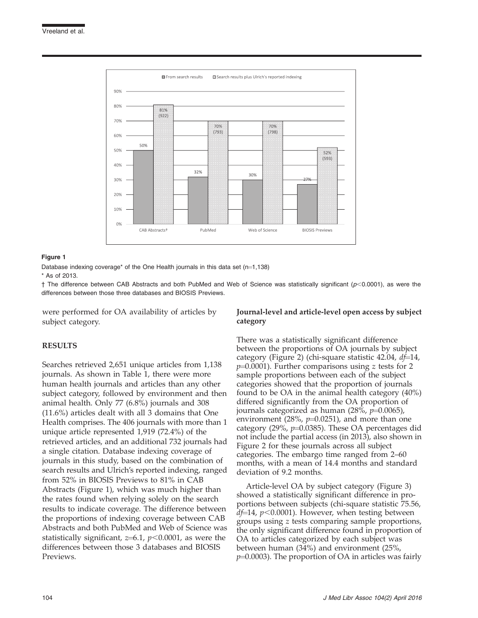

#### Figure 1

Database indexing coverage\* of the One Health journals in this data set  $(n=1,138)$ 

\* As of 2013.

 $\dagger$  The difference between CAB Abstracts and both PubMed and Web of Science was statistically significant ( $p$ <0.0001), as were the differences between those three databases and BIOSIS Previews.

were performed for OA availability of articles by subject category.

## RESULTS

Searches retrieved 2,651 unique articles from 1,138 journals. As shown in Table 1, there were more human health journals and articles than any other subject category, followed by environment and then animal health. Only 77 (6.8%) journals and 308 (11.6%) articles dealt with all 3 domains that One Health comprises. The 406 journals with more than 1 unique article represented 1,919 (72.4%) of the retrieved articles, and an additional 732 journals had a single citation. Database indexing coverage of journals in this study, based on the combination of search results and Ulrich's reported indexing, ranged from 52% in BIOSIS Previews to 81% in CAB Abstracts (Figure 1), which was much higher than the rates found when relying solely on the search results to indicate coverage. The difference between the proportions of indexing coverage between CAB Abstracts and both PubMed and Web of Science was statistically significant,  $z=6.1$ ,  $p<0.0001$ , as were the differences between those 3 databases and BIOSIS Previews.

## Journal-level and article-level open access by subject category

There was a statistically significant difference between the proportions of OA journals by subject category (Figure 2) (chi-square statistic 42.04,  $d\hat{t}$ =14,  $p=0.0001$ ). Further comparisons using z tests for 2 sample proportions between each of the subject categories showed that the proportion of journals found to be OA in the animal health category (40%) differed significantly from the OA proportion of journals categorized as human  $(28\%, p=0.0065)$ , environment (28%,  $p=0.0251$ ), and more than one category (29%,  $p=0.0385$ ). These OA percentages did not include the partial access (in 2013), also shown in Figure 2 for these journals across all subject categories. The embargo time ranged from 2–60 months, with a mean of 14.4 months and standard deviation of 9.2 months.

Article-level OA by subject category (Figure 3) showed a statistically significant difference in proportions between subjects (chi-square statistic 75.56,  $df=14$ ,  $p<0.0001$ ). However, when testing between groups using z tests comparing sample proportions, the only significant difference found in proportion of OA to articles categorized by each subject was between human (34%) and environment (25%,  $p=0.0003$ ). The proportion of OA in articles was fairly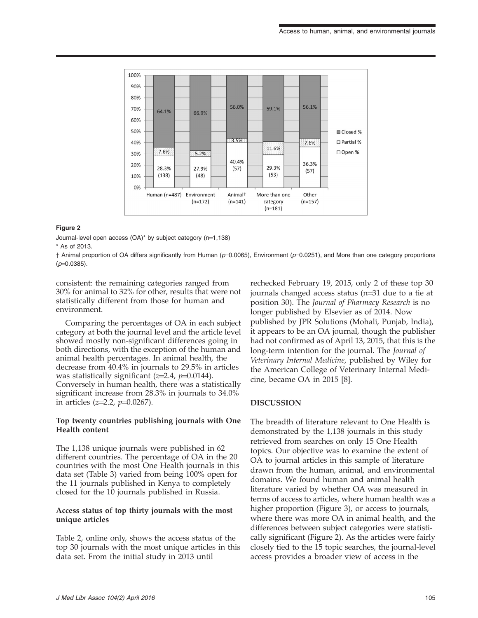

#### Figure 2

Journal-level open access  $(OA)^*$  by subject category  $(n=1,138)$ \* As of 2013.

 $\dagger$  Animal proportion of OA differs significantly from Human ( $p=0.0065$ ), Environment ( $p=0.0251$ ), and More than one category proportions  $(p=0.0385)$ .

consistent: the remaining categories ranged from 30% for animal to 32% for other, results that were not statistically different from those for human and environment.

Comparing the percentages of OA in each subject category at both the journal level and the article level showed mostly non-significant differences going in both directions, with the exception of the human and animal health percentages. In animal health, the decrease from 40.4% in journals to 29.5% in articles was statistically significant ( $z=2.4$ ,  $p=0.0144$ ). Conversely in human health, there was a statistically significant increase from 28.3% in journals to 34.0% in articles  $(z=2.2, p=0.0267)$ .

## Top twenty countries publishing journals with One Health content

The 1,138 unique journals were published in 62 different countries. The percentage of OA in the 20 countries with the most One Health journals in this data set (Table 3) varied from being 100% open for the 11 journals published in Kenya to completely closed for the 10 journals published in Russia.

## Access status of top thirty journals with the most unique articles

Table 2, online only, shows the access status of the top 30 journals with the most unique articles in this data set. From the initial study in 2013 until

rechecked February 19, 2015, only 2 of these top 30 journals changed access status  $(n=31$  due to a tie at position 30). The Journal of Pharmacy Research is no longer published by Elsevier as of 2014. Now published by JPR Solutions (Mohali, Punjab, India), it appears to be an OA journal, though the publisher had not confirmed as of April 13, 2015, that this is the long-term intention for the journal. The Journal of Veterinary Internal Medicine, published by Wiley for the American College of Veterinary Internal Medicine, became OA in 2015 [8].

## DISCUSSION

The breadth of literature relevant to One Health is demonstrated by the 1,138 journals in this study retrieved from searches on only 15 One Health topics. Our objective was to examine the extent of OA to journal articles in this sample of literature drawn from the human, animal, and environmental domains. We found human and animal health literature varied by whether OA was measured in terms of access to articles, where human health was a higher proportion (Figure 3), or access to journals, where there was more OA in animal health, and the differences between subject categories were statistically significant (Figure 2). As the articles were fairly closely tied to the 15 topic searches, the journal-level access provides a broader view of access in the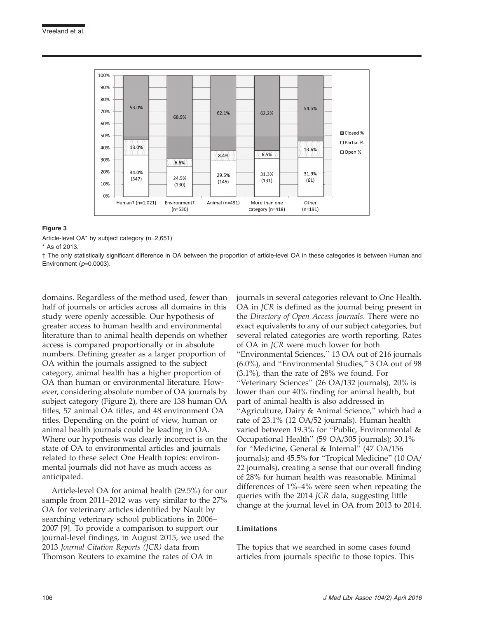

#### Figure 3

Article-level OA\* by subject category  $(n=2,651)$ 

\* As of 2013.

† The only statistically significant difference in OA between the proportion of article-level OA in these categories is between Human and Environment  $(p=0.0003)$ .

domains. Regardless of the method used, fewer than half of journals or articles across all domains in this study were openly accessible. Our hypothesis of greater access to human health and environmental literature than to animal health depends on whether access is compared proportionally or in absolute numbers. Defining greater as a larger proportion of OA within the journals assigned to the subject category, animal health has a higher proportion of OA than human or environmental literature. However, considering absolute number of OA journals by subject category (Figure 2), there are 138 human OA titles, 57 animal OA titles, and 48 environment OA titles. Depending on the point of view, human or animal health journals could be leading in OA. Where our hypothesis was clearly incorrect is on the state of OA to environmental articles and journals related to these select One Health topics: environmental journals did not have as much access as anticipated.

Article-level OA for animal health (29.5%) for our sample from 2011–2012 was very similar to the 27% OA for veterinary articles identified by Nault by searching veterinary school publications in 2006– 2007 [9]. To provide a comparison to support our journal-level findings, in August 2015, we used the 2013 Journal Citation Reports (JCR) data from Thomson Reuters to examine the rates of OA in

journals in several categories relevant to One Health. OA in JCR is defined as the journal being present in the Directory of Open Access Journals. There were no exact equivalents to any of our subject categories, but several related categories are worth reporting. Rates of OA in JCR were much lower for both ''Environmental Sciences,'' 13 OA out of 216 journals (6.0%), and ''Environmental Studies,'' 3 OA out of 98 (3.1%), than the rate of 28% we found. For ''Veterinary Sciences'' (26 OA/132 journals), 20% is lower than our 40% finding for animal health, but part of animal health is also addressed in "Agriculture, Dairy & Animal Science," which had a rate of 23.1% (12 OA/52 journals). Human health varied between 19.3% for ''Public, Environmental & Occupational Health'' (59 OA/305 journals); 30.1% for ''Medicine, General & Internal'' (47 OA/156 journals); and 45.5% for ''Tropical Medicine'' (10 OA/ 22 journals), creating a sense that our overall finding of 28% for human health was reasonable. Minimal differences of 1%–4% were seen when repeating the queries with the 2014 JCR data, suggesting little change at the journal level in OA from 2013 to 2014.

## Limitations

The topics that we searched in some cases found articles from journals specific to those topics. This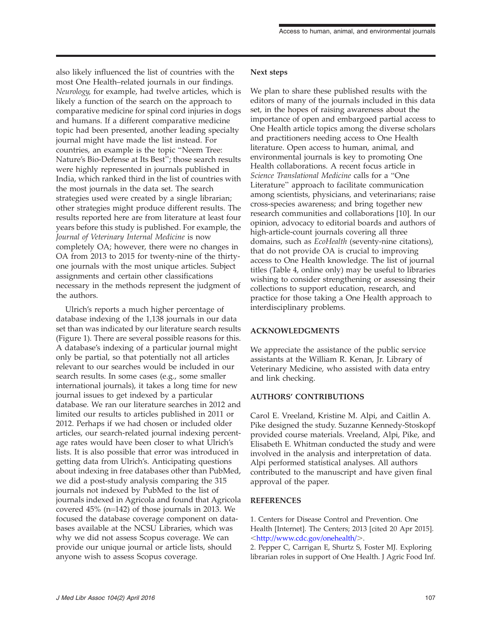also likely influenced the list of countries with the most One Health–related journals in our findings. Neurology, for example, had twelve articles, which is likely a function of the search on the approach to comparative medicine for spinal cord injuries in dogs and humans. If a different comparative medicine topic had been presented, another leading specialty journal might have made the list instead. For countries, an example is the topic ''Neem Tree: Nature's Bio-Defense at Its Best''; those search results were highly represented in journals published in India, which ranked third in the list of countries with the most journals in the data set. The search strategies used were created by a single librarian; other strategies might produce different results. The results reported here are from literature at least four years before this study is published. For example, the Journal of Veterinary Internal Medicine is now completely OA; however, there were no changes in OA from 2013 to 2015 for twenty-nine of the thirtyone journals with the most unique articles. Subject assignments and certain other classifications necessary in the methods represent the judgment of the authors.

Ulrich's reports a much higher percentage of database indexing of the 1,138 journals in our data set than was indicated by our literature search results (Figure 1). There are several possible reasons for this. A database's indexing of a particular journal might only be partial, so that potentially not all articles relevant to our searches would be included in our search results. In some cases (e.g., some smaller international journals), it takes a long time for new journal issues to get indexed by a particular database. We ran our literature searches in 2012 and limited our results to articles published in 2011 or 2012. Perhaps if we had chosen or included older articles, our search-related journal indexing percentage rates would have been closer to what Ulrich's lists. It is also possible that error was introduced in getting data from Ulrich's. Anticipating questions about indexing in free databases other than PubMed, we did a post-study analysis comparing the 315 journals not indexed by PubMed to the list of journals indexed in Agricola and found that Agricola covered  $45\%$  (n=142) of those journals in 2013. We focused the database coverage component on databases available at the NCSU Libraries, which was why we did not assess Scopus coverage. We can provide our unique journal or article lists, should anyone wish to assess Scopus coverage.

## Next steps

We plan to share these published results with the editors of many of the journals included in this data set, in the hopes of raising awareness about the importance of open and embargoed partial access to One Health article topics among the diverse scholars and practitioners needing access to One Health literature. Open access to human, animal, and environmental journals is key to promoting One Health collaborations. A recent focus article in Science Translational Medicine calls for a ''One Literature'' approach to facilitate communication among scientists, physicians, and veterinarians; raise cross-species awareness; and bring together new research communities and collaborations [10]. In our opinion, advocacy to editorial boards and authors of high-article-count journals covering all three domains, such as EcoHealth (seventy-nine citations), that do not provide OA is crucial to improving access to One Health knowledge. The list of journal titles (Table 4, online only) may be useful to libraries wishing to consider strengthening or assessing their collections to support education, research, and practice for those taking a One Health approach to interdisciplinary problems.

## ACKNOWLEDGMENTS

We appreciate the assistance of the public service assistants at the William R. Kenan, Jr. Library of Veterinary Medicine, who assisted with data entry and link checking.

## AUTHORS' CONTRIBUTIONS

Carol E. Vreeland, Kristine M. Alpi, and Caitlin A. Pike designed the study. Suzanne Kennedy-Stoskopf provided course materials. Vreeland, Alpi, Pike, and Elisabeth E. Whitman conducted the study and were involved in the analysis and interpretation of data. Alpi performed statistical analyses. All authors contributed to the manuscript and have given final approval of the paper.

## REFERENCES

1. Centers for Disease Control and Prevention. One Health [Internet]. The Centers; 2013 [cited 20 Apr 2015]. <<http://www.cdc.gov/onehealth/>>.

2. Pepper C, Carrigan E, Shurtz S, Foster MJ. Exploring librarian roles in support of One Health. J Agric Food Inf.